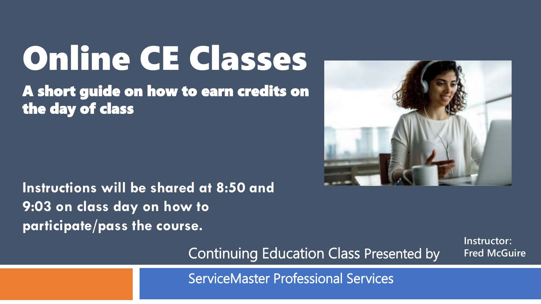# Online CE Classes

A short guide on how to earn credits on the day of class

**Instructions will be shared at 8:50 and 9:03 on class day on how to participate/pass the course.**



**Instructor:**

**Fred McGuire**

Continuing Education Class Presented by

ServiceMaster Professional Services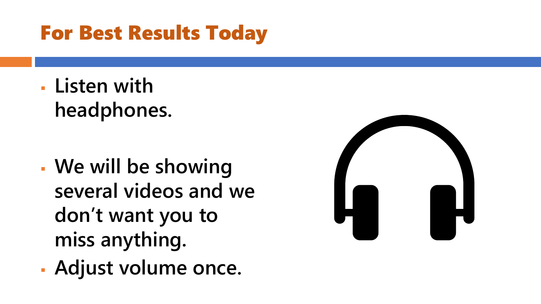### For Best Results Today

▪ **Listen with headphones.**

- **We will be showing several videos and we don't want you to miss anything.**
- **Adjust volume once.**

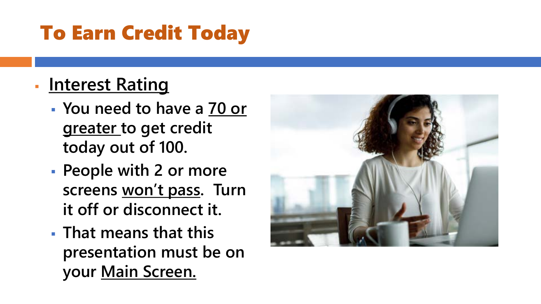### To Earn Credit Today

### ▪ **Interest Rating**

- **You need to have a 70 or greater to get credit today out of 100.**
- **People with 2 or more screens won't pass. Turn it off or disconnect it.**
- **That means that this presentation must be on your Main Screen.**

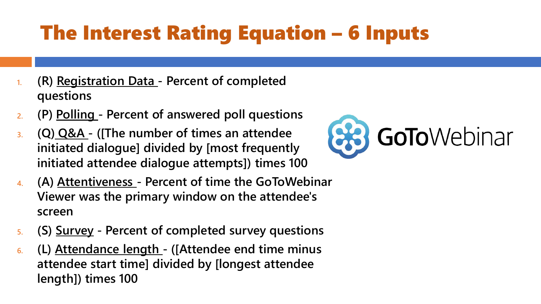## The Interest Rating Equation – 6 Inputs

- **1. (R) Registration Data - Percent of completed questions**
- **2. (P) Polling - Percent of answered poll questions**
- **3. (Q) Q&A - ([The number of times an attendee initiated dialogue] divided by [most frequently initiated attendee dialogue attempts]) times 100**
- **4. (A) Attentiveness - Percent of time the GoToWebinar Viewer was the primary window on the attendee's screen**
- **5. (S) Survey - Percent of completed survey questions**
- **6. (L) Attendance length - ([Attendee end time minus attendee start time] divided by [longest attendee length]) times 100**

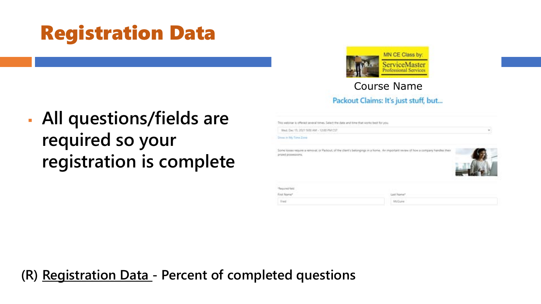### Registration Data



### Course Name

▪ **All questions/fields are required so your registration is complete**

| Packout Claims: It's just stuff, but |  |  |  |  |
|--------------------------------------|--|--|--|--|
|--------------------------------------|--|--|--|--|

Not well inter is offered several times. Select the date and time that works treat for you

Wed. Dec 15, 2021 9:00 AW - 12:00 PM CST

### Stone in My Time Zone

Some losses require a removal, or Packout, of the client's belongings in a home. An important review of fiow a company handles their prized possessions.



### \*Required field

First Name<sup>\*</sup> **Tried:** 

**Last Name** 

McGuve

### **(R) Registration Data - Percent of completed questions**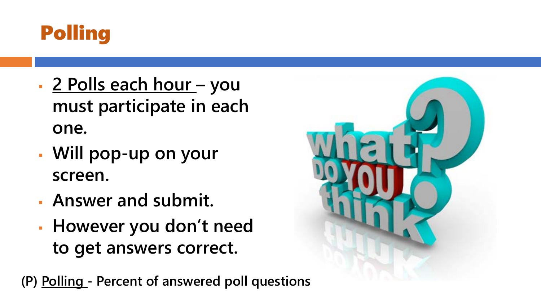

- **2 Polls each hour – you must participate in each one.**
- **Will pop-up on your screen.**
- **Answer and submit.**
- **However you don't need to get answers correct.**

**(P) Polling - Percent of answered poll questions**

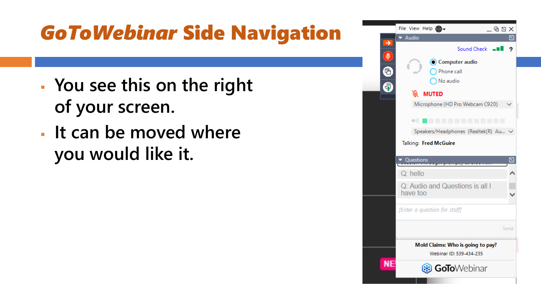### *GoToWebinar* Side Navigation

- **You see this on the right of your screen.**
- **It can be moved where you would like it.**

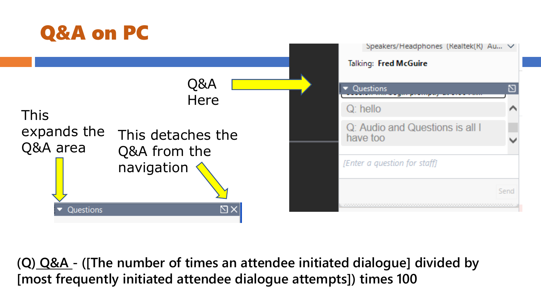

**(Q) Q&A - ([The number of times an attendee initiated dialogue] divided by [most frequently initiated attendee dialogue attempts]) times 100**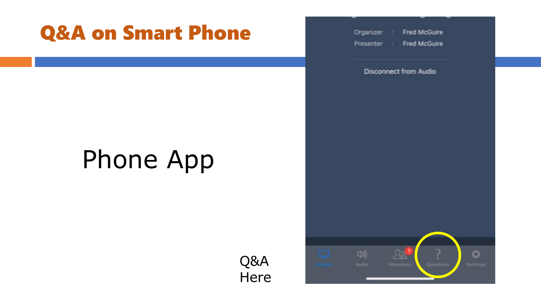### Q&A on Smart Phone

## Phone App

Q&A **Here**  Organizer Fred McGuire Presenter :: **Fred McGuire** 

**Disconnect from Audio** 

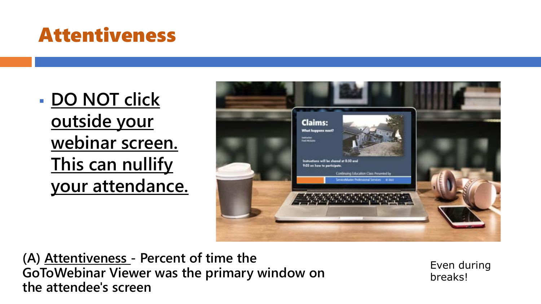### Attentiveness

▪ **DO NOT click outside your webinar screen. This can nullify your attendance.** 



**(A) Attentiveness - Percent of time the GoToWebinar Viewer was the primary window on the attendee's screen**

Even during breaks!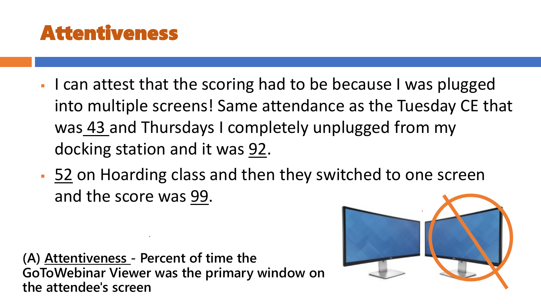### Attentiveness

- I can attest that the scoring had to be because I was plugged into multiple screens! Same attendance as the Tuesday CE that was 43 and Thursdays I completely unplugged from my docking station and it was 92.
- 52 on Hoarding class and then they switched to one screen and the score was 99.

**(A) Attentiveness - Percent of time the GoToWebinar Viewer was the primary window on the attendee's screen**

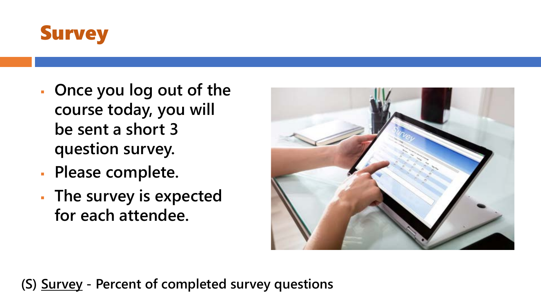

- **Once you log out of the course today, you will be sent a short 3 question survey.**
- **Please complete.**
- **The survey is expected for each attendee.**



**(S) Survey - Percent of completed survey questions**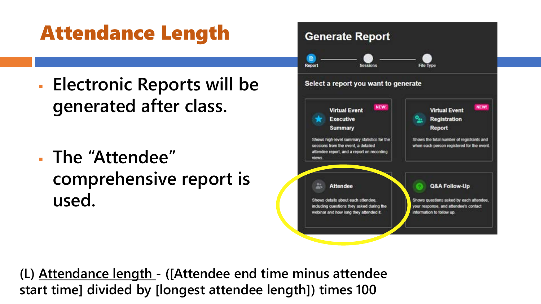### Attendance Length

- **Electronic Reports will be generated after class.**
- **The "Attendee" comprehensive report is used.**



**(L) Attendance length - ([Attendee end time minus attendee start time] divided by [longest attendee length]) times 100**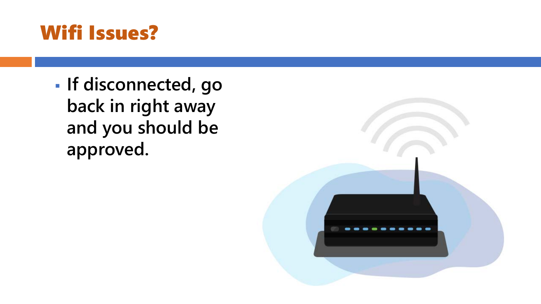### Wifi Issues?

▪ **If disconnected, go back in right away and you should be approved.**